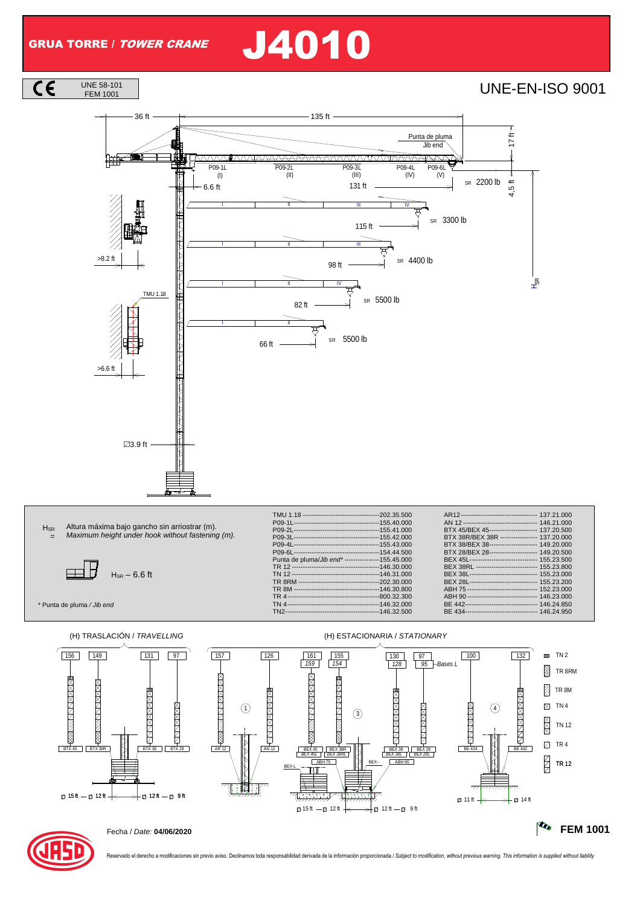UNE 58-101<br>FEM 1001

 $\overline{\mathsf{CE}}$ 

# GRUA TORRE / TOWER CRANE J4010

### FEM 1001 UNE-EN-ISO 9001





\* Punta de pluma / Jib end

**H**<sub>SR</sub> =

|                                                  | AN 12---------------------------------- 146.21.000  |  |
|--------------------------------------------------|-----------------------------------------------------|--|
|                                                  | BTX 45/BEX 45---------------------- 137.20.500      |  |
|                                                  | BTX 38R/BEX 38R ---------------- 137.20.000         |  |
|                                                  | BTX 38/BEX 38---------------------- 149.20.000      |  |
|                                                  | BTX 28/BEX 28---------------------- 149.20.500      |  |
| Punta de pluma/Jib end*---------------155.45.000 | BEX 45L------------------------------- 155.23.500   |  |
|                                                  | BEX 38RL ---------------------------- 155.23.800    |  |
|                                                  | BEX 38L-------------------------------- 155.23.000  |  |
|                                                  | BEX 28L------------------------------- 155.23.200   |  |
|                                                  | ABH 75 -------------------------------- 152.23.000  |  |
|                                                  | ABH 90-------------------------------- 146.23.000   |  |
|                                                  | BE 442--------------------------------- 146.24.850  |  |
|                                                  | BE 434---------------------------------- 146.24.950 |  |
|                                                  |                                                     |  |





Reservado el derecho a modificaciones sin previo aviso. Declinamos toda responsabilidad derivada de la información proporcionada / Subject to modification, without previous warning. This information is supplied without lia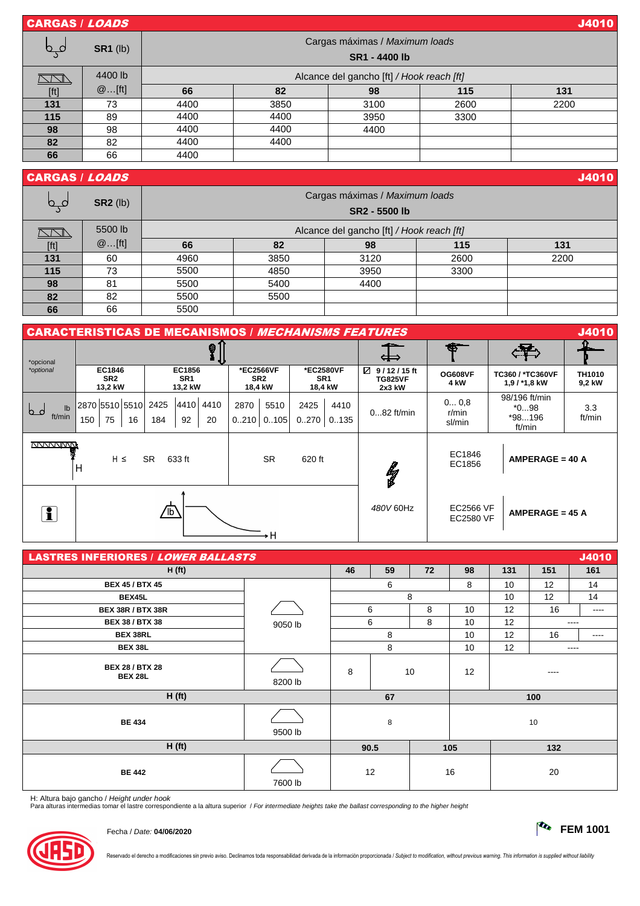| <b>CARGAS / LOADS</b> |                 |                                                 |                                           |      |      | <b>J4010</b> |  |  |  |  |
|-----------------------|-----------------|-------------------------------------------------|-------------------------------------------|------|------|--------------|--|--|--|--|
| صے                    | <b>SR1</b> (lb) | Cargas máximas / Maximum loads<br>SR1 - 4400 lb |                                           |      |      |              |  |  |  |  |
|                       | 4400 lb         |                                                 | Alcance del gancho [ft] / Hook reach [ft] |      |      |              |  |  |  |  |
| [ft]                  | @[ft]           | 66                                              | 82                                        | 98   | 115  | 131          |  |  |  |  |
| 131                   | 73              | 4400                                            | 3850                                      | 3100 | 2600 | 2200         |  |  |  |  |
| 115                   | 89              | 4400                                            | 4400                                      | 3950 | 3300 |              |  |  |  |  |
| 98                    | 98              | 4400                                            | 4400                                      | 4400 |      |              |  |  |  |  |
| 82                    | 82              | 4400                                            | 4400                                      |      |      |              |  |  |  |  |
| 66                    | 66              | 4400                                            |                                           |      |      |              |  |  |  |  |

## **CARGAS / LOADS** J4010

| ص کا | $SR2$ (lb) | Cargas máximas / Maximum loads<br>SR2 - 5500 lb |                                           |      |      |      |  |  |  |  |
|------|------------|-------------------------------------------------|-------------------------------------------|------|------|------|--|--|--|--|
|      | 5500 lb    |                                                 | Alcance del gancho [ft] / Hook reach [ft] |      |      |      |  |  |  |  |
| [ft] | @[ft]      | 66                                              | 82                                        | 98   | 115  | 131  |  |  |  |  |
| 131  | 60         | 4960                                            | 3850                                      | 3120 | 2600 | 2200 |  |  |  |  |
| 115  | 73         | 5500                                            | 4850                                      | 3950 | 3300 |      |  |  |  |  |
| 98   | 81         | 5500                                            | 5400                                      | 4400 |      |      |  |  |  |  |
| 82   | 82         | 5500                                            | 5500                                      |      |      |      |  |  |  |  |
| 66   | 66         | 5500                                            |                                           |      |      |      |  |  |  |  |

| <b>CARACTERISTICAS DE MECANISMOS / MECHANISMS FEATURES</b>   |                                        |                                      |                                                                                    |                  |                                            |                                      |                                    |                                               | <b>J4010</b> |
|--------------------------------------------------------------|----------------------------------------|--------------------------------------|------------------------------------------------------------------------------------|------------------|--------------------------------------------|--------------------------------------|------------------------------------|-----------------------------------------------|--------------|
| *opcional                                                    |                                        | ⊗                                    |                                                                                    |                  |                                            | حصاد<br>⇔                            | Æ                                  |                                               |              |
| *optional                                                    | EC1846<br>SR <sub>2</sub><br>13,2 kW   | EC1856<br>SR <sub>1</sub><br>13,2 kW | *EC2566VF<br>*EC2580VF<br>SR <sub>2</sub><br>SR <sub>1</sub><br>18,4 kW<br>18,4 kW |                  | 9/12/15ft<br>Ø<br><b>TG825VF</b><br>2x3 kW | <b>OG608VF</b><br>4 kW               | TC360 / *TC360VF<br>$1,9/1*1,8$ kW | TH1010<br>9,2 kW                              |              |
| $\mathsf{lb}$<br>b<br>ft/min                                 | 2870 5510 5510 2425<br>75<br>16<br>150 | 4410 4410<br>92<br>20<br>184         | 2870<br>5510<br>$0.210$ $0.105$                                                    | 2425<br>0.270    | 4410<br>0135                               | $082$ ft/min                         | 00.8<br>$r/m$ in<br>sl/min         | 98/196 ft/min<br>$*098$<br>$*98196$<br>ft/min |              |
| $H \leq$<br><b>SR</b><br><b>SR</b><br>633 ft<br>620 ft<br>ΙH |                                        |                                      | $\frac{p}{2}$                                                                      | EC1846<br>EC1856 | $AMPERAGE = 40 A$                          |                                      |                                    |                                               |              |
| i                                                            | ⁄1⊵<br>۰H                              |                                      |                                                                                    |                  | 480V 60Hz                                  | <b>EC2566 VF</b><br><b>EC2580 VF</b> | $AMPERAGE = 45 A$                  |                                               |              |

| <b>LASTRES INFERIORES / LOWER BALLASTS</b> |         |      |    |    |     |      |      | J4010 |
|--------------------------------------------|---------|------|----|----|-----|------|------|-------|
| H(ft)                                      |         | 46   | 59 | 72 | 98  | 131  | 151  | 161   |
| <b>BEX 45 / BTX 45</b>                     |         |      | 6  |    | 8   | 10   | 12   | 14    |
| BEX45L                                     |         | 8    |    |    | 10  |      | 12   | 14    |
| <b>BEX 38R / BTX 38R</b>                   |         |      | 6  | 8  | 10  | 12   | 16   | ----  |
| <b>BEX 38 / BTX 38</b>                     | 9050 lb |      | 6  | 8  | 10  | 12   |      | ----  |
| <b>BEX 38RL</b>                            |         |      | 8  |    | 10  | 12   | 16   | ----  |
| <b>BEX 38L</b>                             |         |      | 8  |    | 10  | 12   | ---- |       |
| <b>BEX 28 / BTX 28</b><br><b>BEX 28L</b>   | 8200 lb | 8    |    | 10 | 12  | ---- |      |       |
| H(ft)                                      |         | 67   |    |    |     | 100  |      |       |
| <b>BE 434</b>                              | 9500 lb | 8    |    | 10 |     |      |      |       |
| H(ft)                                      |         | 90.5 |    |    | 105 |      | 132  |       |
| <b>BE 442</b>                              | 7600 lb | 12   |    |    | 16  |      | 20   |       |

H: Altura bajo gancho / *Height under hook*<br>Para alturas intermedias tomar el lastre correspondiente a la altura superior */ For intermediate heights take the ballast corresponding to the higher heigh*i



Fecha / Date: **04/06/2020 FEM 1001**

Reservado el derecho a modificaciones sin previo aviso. Declinamos toda responsabilidad derivada de la información proporcionada / Subject to modification, without previous warning. This information is supplied without lia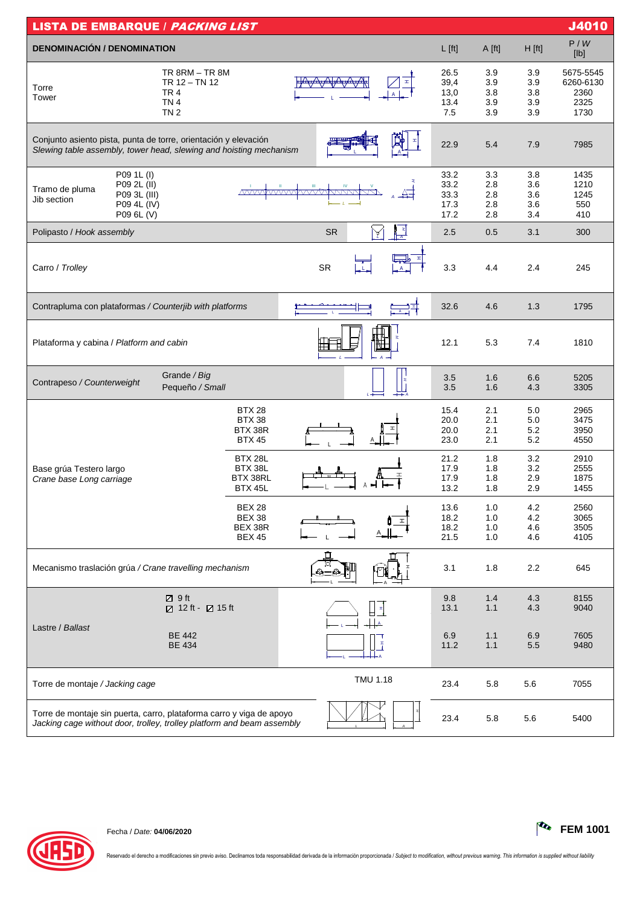| <b>LISTA DE EMBARQUE / PACKING LIST</b>                                                                                                        |                                                            |                                   |                                      |                                 |                                 | J4010                                          |
|------------------------------------------------------------------------------------------------------------------------------------------------|------------------------------------------------------------|-----------------------------------|--------------------------------------|---------------------------------|---------------------------------|------------------------------------------------|
| <b>DENOMINACIÓN / DENOMINATION</b>                                                                                                             |                                                            |                                   | $L$ [ft]                             | A [ft]                          | H [ft]                          | P/W<br>[lb]                                    |
| <b>TR 8RM - TR 8M</b><br>TR 12 - TN 12<br>Torre<br>TR <sub>4</sub><br>Tower<br>TN <sub>4</sub><br>TN <sub>2</sub>                              |                                                            |                                   | 26.5<br>39,4<br>13,0<br>13.4<br>7.5  | 3.9<br>3.9<br>3.8<br>3.9<br>3.9 | 3.9<br>3.9<br>3.8<br>3.9<br>3.9 | 5675-5545<br>6260-6130<br>2360<br>2325<br>1730 |
| Conjunto asiento pista, punta de torre, orientación y elevación<br>Slewing table assembly, tower head, slewing and hoisting mechanism          |                                                            |                                   | 22.9                                 | 5.4                             | 7.9                             | 7985                                           |
| P09 1L (I)<br>P09 2L (II)<br>Tramo de pluma<br>P09 3L (III)<br>Jib section<br>P09 4L (IV)<br>P09 6L (V)                                        | $\sqrt{N}$                                                 | <b>VAAAAA</b>                     | 33.2<br>33.2<br>33.3<br>17.3<br>17.2 | 3.3<br>2.8<br>2.8<br>2.8<br>2.8 | 3.8<br>3.6<br>3.6<br>3.6<br>3.4 | 1435<br>1210<br>1245<br>550<br>410             |
| Polipasto / Hook assembly                                                                                                                      |                                                            | $\frac{1}{\sqrt{4}}$<br><b>SR</b> | 2.5                                  | 0.5                             | 3.1                             | 300                                            |
| Carro / Trolley                                                                                                                                |                                                            | <b>SR</b>                         | 3.3                                  | 4.4                             | 2.4                             | 245                                            |
| Contrapluma con plataformas / Counterjib with platforms                                                                                        |                                                            | ᆖᅧ                                | 32.6                                 | 4.6                             | 1.3                             | 1795                                           |
| Plataforma y cabina / Platform and cabin                                                                                                       |                                                            |                                   | 12.1                                 | 5.3                             | 7.4                             | 1810                                           |
| Grande / Big<br>Contrapeso / Counterweight<br>Pequeño / Small                                                                                  |                                                            |                                   | 3.5<br>3.5                           | 1.6<br>1.6                      | 6.6<br>4.3                      | 5205<br>3305                                   |
|                                                                                                                                                | <b>BTX 28</b><br><b>BTX 38</b><br>BTX 38R<br><b>BTX 45</b> |                                   | 15.4<br>20.0<br>20.0<br>23.0         | 2.1<br>2.1<br>2.1<br>2.1        | 5.0<br>5.0<br>5.2<br>5.2        | 2965<br>3475<br>3950<br>4550                   |
| Base grúa Testero largo<br>Crane base Long carriage                                                                                            | BTX 28L<br>BTX 38L<br>BTX 38RL<br>BTX 45L                  |                                   | 21.2<br>17.9<br>17.9<br>13.2         | 1.8<br>1.8<br>1.8<br>1.8        | 3.2<br>3.2<br>2.9<br>2.9        | 2910<br>2555<br>1875<br>1455                   |
|                                                                                                                                                | <b>BEX 28</b><br><b>BEX 38</b><br>BEX 38R<br><b>BEX 45</b> |                                   | 13.6<br>18.2<br>18.2<br>21.5         | 1.0<br>1.0<br>1.0<br>1.0        | 4.2<br>4.2<br>4.6<br>4.6        | 2560<br>3065<br>3505<br>4105                   |
| Mecanismo traslación grúa / Crane travelling mechanism                                                                                         |                                                            | □                                 | 3.1                                  | 1.8                             | 2.2                             | 645                                            |
| ■ 9ft<br>Z 12 ft - Z 15 ft                                                                                                                     |                                                            |                                   | 9.8<br>13.1                          | 1.4<br>1.1                      | 4.3<br>4.3                      | 8155<br>9040                                   |
| Lastre / Ballast<br><b>BE 442</b><br><b>BE 434</b>                                                                                             |                                                            |                                   | 6.9<br>11.2                          | 1.1<br>1.1                      | 6.9<br>5.5                      | 7605<br>9480                                   |
| Torre de montaje / Jacking cage                                                                                                                | <b>TMU 1.18</b>                                            | 23.4                              | 5.8                                  | 5.6                             | 7055                            |                                                |
| Torre de montaje sin puerta, carro, plataforma carro y viga de apoyo<br>Jacking cage without door, trolley, trolley platform and beam assembly |                                                            | 23.4                              | 5.8                                  | 5.6                             | 5400                            |                                                |



Reservado el derecho a modificaciones sin previo aviso. Declinamos toda responsabilidad derivada de la información proporcionada / Subject to modification, without previous warning. This information is supplied without lia